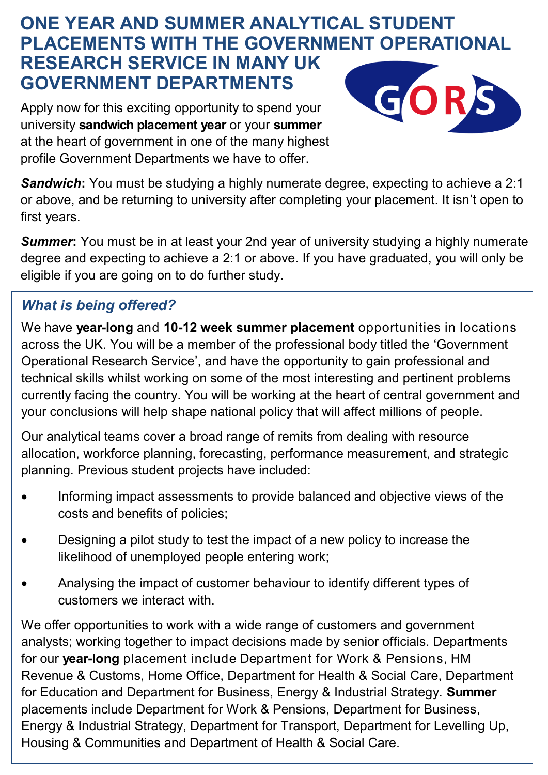# **ONE YEAR AND SUMMER ANALYTICAL STUDENT PLACEMENTS WITH THE GOVERNMENT OPERATIONAL RESEARCH SERVICE IN MANY UK GOVERNMENT DEPARTMENTS**

Apply now for this exciting opportunity to spend your university **sandwich placement year** or your **summer**  at the heart of government in one of the many highest profile Government Departments we have to offer.



**Sandwich:** You must be studying a highly numerate degree, expecting to achieve a 2:1 or above, and be returning to university after completing your placement. It isn't open to first years.

**Summer:** You must be in at least your 2nd year of university studying a highly numerate degree and expecting to achieve a 2:1 or above. If you have graduated, you will only be eligible if you are going on to do further study.

## *What is being offered?*

We have **year-long** and **10-12 week summer placement** opportunities in locations across the UK. You will be a member of the professional body titled the 'Government Operational Research Service', and have the opportunity to gain professional and technical skills whilst working on some of the most interesting and pertinent problems currently facing the country. You will be working at the heart of central government and your conclusions will help shape national policy that will affect millions of people.

Our analytical teams cover a broad range of remits from dealing with resource allocation, workforce planning, forecasting, performance measurement, and strategic planning. Previous student projects have included:

- Informing impact assessments to provide balanced and objective views of the costs and benefits of policies;
- Designing a pilot study to test the impact of a new policy to increase the likelihood of unemployed people entering work;
- Analysing the impact of customer behaviour to identify different types of customers we interact with.

We offer opportunities to work with a wide range of customers and government analysts; working together to impact decisions made by senior officials. Departments for our **year-long** placement include Department for Work & Pensions, HM Revenue & Customs, Home Office, Department for Health & Social Care, Department for Education and Department for Business, Energy & Industrial Strategy. **Summer**  placements include Department for Work & Pensions, Department for Business, Energy & Industrial Strategy, Department for Transport, Department for Levelling Up, Housing & Communities and Department of Health & Social Care.